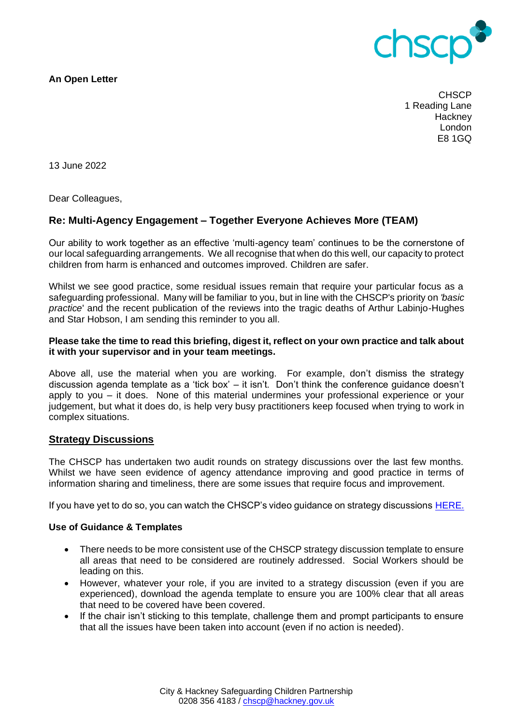

**An Open Letter**

**CHSCP** 1 Reading Lane **Hackney** London E8 1GQ

13 June 2022

Dear Colleagues,

# **Re: Multi-Agency Engagement – Together Everyone Achieves More (TEAM)**

Our ability to work together as an effective 'multi-agency team' continues to be the cornerstone of our local safeguarding arrangements. We all recognise that when do this well, our capacity to protect children from harm is enhanced and outcomes improved. Children are safer.

Whilst we see good practice, some residual issues remain that require your particular focus as a safeguarding professional. Many will be familiar to you, but in line with the CHSCP's priority on *'basic practice*' and the recent publication of the reviews into the tragic deaths of Arthur Labinjo-Hughes and Star Hobson, I am sending this reminder to you all.

## **Please take the time to read this briefing, digest it, reflect on your own practice and talk about it with your supervisor and in your team meetings.**

Above all, use the material when you are working. For example, don't dismiss the strategy discussion agenda template as a 'tick box' – it isn't. Don't think the conference guidance doesn't apply to you – it does. None of this material undermines your professional experience or your judgement, but what it does do, is help very busy practitioners keep focused when trying to work in complex situations.

## **Strategy Discussions**

The CHSCP has undertaken two audit rounds on strategy discussions over the last few months. Whilst we have seen evidence of agency attendance improving and good practice in terms of information sharing and timeliness, there are some issues that require focus and improvement.

If you have yet to do so, you can watch the CHSCP's video guidance on strategy discussions [HERE.](https://www.chscp.org.uk/strategy-discussions/) 

#### **Use of Guidance & Templates**

- There needs to be more consistent use of the CHSCP strategy discussion template to ensure all areas that need to be considered are routinely addressed. Social Workers should be leading on this.
- However, whatever your role, if you are invited to a strategy discussion (even if you are experienced), download the agenda template to ensure you are 100% clear that all areas that need to be covered have been covered.
- If the chair isn't sticking to this template, challenge them and prompt participants to ensure that all the issues have been taken into account (even if no action is needed).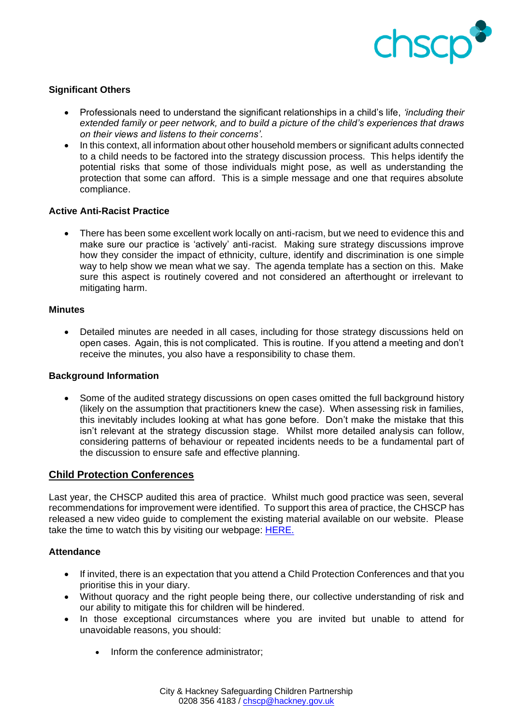

## **Significant Others**

- Professionals need to understand the significant relationships in a child's life, *'including their extended family or peer network, and to build a picture of the child's experiences that draws on their views and listens to their concerns'.*
- In this context, all information about other household members or significant adults connected to a child needs to be factored into the strategy discussion process. This helps identify the potential risks that some of those individuals might pose, as well as understanding the protection that some can afford. This is a simple message and one that requires absolute compliance.

## **Active Anti-Racist Practice**

• There has been some excellent work locally on anti-racism, but we need to evidence this and make sure our practice is 'actively' anti-racist. Making sure strategy discussions improve how they consider the impact of ethnicity, culture, identify and discrimination is one simple way to help show we mean what we say. The agenda template has a section on this. Make sure this aspect is routinely covered and not considered an afterthought or irrelevant to mitigating harm.

## **Minutes**

• Detailed minutes are needed in all cases, including for those strategy discussions held on open cases. Again, this is not complicated. This is routine. If you attend a meeting and don't receive the minutes, you also have a responsibility to chase them.

## **Background Information**

• Some of the audited strategy discussions on open cases omitted the full background history (likely on the assumption that practitioners knew the case). When assessing risk in families, this inevitably includes looking at what has gone before. Don't make the mistake that this isn't relevant at the strategy discussion stage. Whilst more detailed analysis can follow, considering patterns of behaviour or repeated incidents needs to be a fundamental part of the discussion to ensure safe and effective planning.

# **Child Protection Conferences**

Last year, the CHSCP audited this area of practice. Whilst much good practice was seen, several recommendations for improvement were identified. To support this area of practice, the CHSCP has released a new video guide to complement the existing material available on our website. Please take the time to watch this by visiting our webpage: **HERE.** 

## **Attendance**

- If invited, there is an expectation that you attend a Child Protection Conferences and that you prioritise this in your diary.
- Without quoracy and the right people being there, our collective understanding of risk and our ability to mitigate this for children will be hindered.
- In those exceptional circumstances where you are invited but unable to attend for unavoidable reasons, you should:
	- Inform the conference administrator;